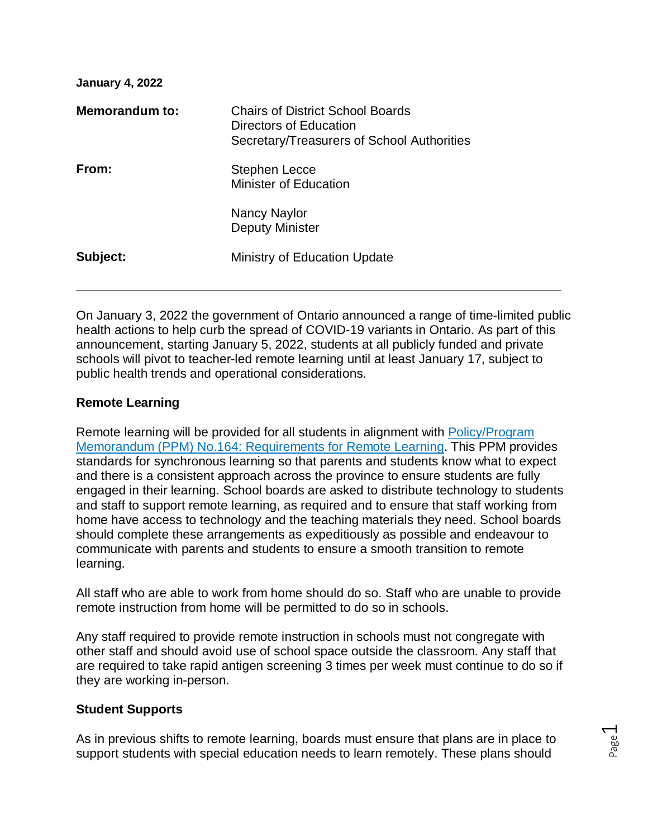| <b>January 4, 2022</b> |                                                                                                                 |
|------------------------|-----------------------------------------------------------------------------------------------------------------|
| Memorandum to:         | <b>Chairs of District School Boards</b><br>Directors of Education<br>Secretary/Treasurers of School Authorities |
| From:                  | Stephen Lecce<br><b>Minister of Education</b>                                                                   |
|                        | Nancy Naylor<br><b>Deputy Minister</b>                                                                          |
| Subject:               | Ministry of Education Update                                                                                    |

On January 3, 2022 the government of Ontario announced a range of time-limited public health actions to help curb the spread of COVID-19 variants in Ontario. As part of this announcement, starting January 5, 2022, students at all publicly funded and private schools will pivot to teacher-led remote learning until at least January 17, subject to public health trends and operational considerations.

# **Remote Learning**

Remote learning will be provided for all students in alignment with [Policy/Program](http://www.edu.gov.on.ca/extra/eng/ppm/164.html)  [Memorandum \(PPM\) No.164: Requirements for Remote Learning.](http://www.edu.gov.on.ca/extra/eng/ppm/164.html) This PPM provides standards for synchronous learning so that parents and students know what to expect and there is a consistent approach across the province to ensure students are fully engaged in their learning. School boards are asked to distribute technology to students and staff to support remote learning, as required and to ensure that staff working from home have access to technology and the teaching materials they need. School boards should complete these arrangements as expeditiously as possible and endeavour to communicate with parents and students to ensure a smooth transition to remote learning.

All staff who are able to work from home should do so. Staff who are unable to provide remote instruction from home will be permitted to do so in schools.

Any staff required to provide remote instruction in schools must not congregate with other staff and should avoid use of school space outside the classroom. Any staff that are required to take rapid antigen screening 3 times per week must continue to do so if they are working in-person.

## **Student Supports**

As in previous shifts to remote learning, boards must ensure that plans are in place to support students with special education needs to learn remotely. These plans should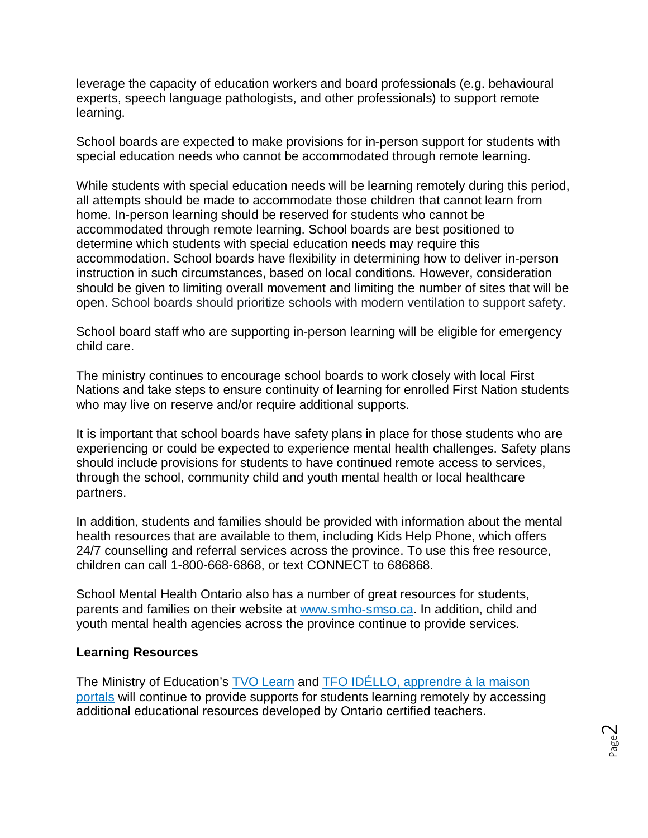leverage the capacity of education workers and board professionals (e.g. behavioural experts, speech language pathologists, and other professionals) to support remote learning.

School boards are expected to make provisions for in-person support for students with special education needs who cannot be accommodated through remote learning.

While students with special education needs will be learning remotely during this period, all attempts should be made to accommodate those children that cannot learn from home. In-person learning should be reserved for students who cannot be accommodated through remote learning. School boards are best positioned to determine which students with special education needs may require this accommodation. School boards have flexibility in determining how to deliver in-person instruction in such circumstances, based on local conditions. However, consideration should be given to limiting overall movement and limiting the number of sites that will be open. School boards should prioritize schools with modern ventilation to support safety.

School board staff who are supporting in-person learning will be eligible for emergency child care.

The ministry continues to encourage school boards to work closely with local First Nations and take steps to ensure continuity of learning for enrolled First Nation students who may live on reserve and/or require additional supports.

It is important that school boards have safety plans in place for those students who are experiencing or could be expected to experience mental health challenges. Safety plans should include provisions for students to have continued remote access to services, through the school, community child and youth mental health or local healthcare partners.

In addition, students and families should be provided with information about the mental health resources that are available to them, including Kids Help Phone, which offers 24/7 counselling and referral services across the province. To use this free resource, children can call 1-800-668-6868, or text CONNECT to 686868.

School Mental Health Ontario also has a number of great resources for students, parents and families on their website at [www.smho-smso.ca.](http://www.smho-smso.ca/) In addition, child and youth mental health agencies across the province continue to provide services.

## **Learning Resources**

The Ministry of Education's [TVO Learn](https://tvolearn.com/) and TFO [IDÉLLO, apprendre à la maison](https://www.idello.org/fr/apprendre-a-la-maison) portals will continue to provide supports for students learning remotely by accessing additional educational resources developed by Ontario certified teachers.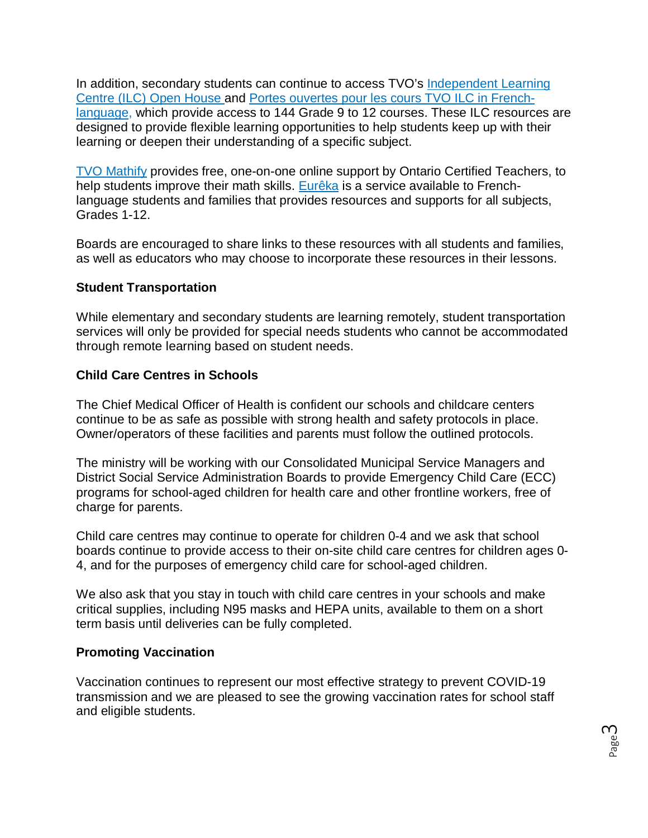In addition, secondary students can continue to access TVO's [Independent Learning](https://tvolearn.com/collections/courses)  [Centre \(ILC\) Open House](https://tvolearn.com/collections/courses) and Portes ouvertes pour les cours TVO ILC in Frenchlanguage, which provide access to 144 Grade 9 to 12 courses. These ILC resources are designed to provide flexible learning opportunities to help students keep up with their learning or deepen their understanding of a specific subject.

[TVO Mathify](https://www.tvomathify.com/students) provides free, one-on-one online support by Ontario Certified Teachers, to help students improve their math skills. [Eurêka](https://moneureka.ca/) is a service available to Frenchlanguage students and families that provides resources and supports for all subjects, Grades 1-12.

Boards are encouraged to share links to these resources with all students and families, as well as educators who may choose to incorporate these resources in their lessons.

# **Student Transportation**

While elementary and secondary students are learning remotely, student transportation services will only be provided for special needs students who cannot be accommodated through remote learning based on student needs.

# **Child Care Centres in Schools**

The Chief Medical Officer of Health is confident our schools and childcare centers continue to be as safe as possible with strong health and safety protocols in place. Owner/operators of these facilities and parents must follow the outlined protocols.

The ministry will be working with our Consolidated Municipal Service Managers and District Social Service Administration Boards to provide Emergency Child Care (ECC) programs for school-aged children for health care and other frontline workers, free of charge for parents.

Child care centres may continue to operate for children 0-4 and we ask that school boards continue to provide access to their on-site child care centres for children ages 0- 4, and for the purposes of emergency child care for school-aged children.

We also ask that you stay in touch with child care centres in your schools and make critical supplies, including N95 masks and HEPA units, available to them on a short term basis until deliveries can be fully completed.

## **Promoting Vaccination**

Vaccination continues to represent our most effective strategy to prevent COVID-19 transmission and we are pleased to see the growing vaccination rates for school staff and eligible students.